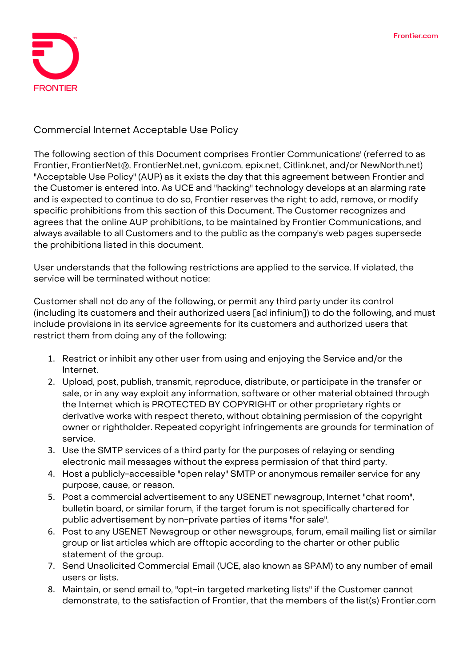

**Commercial Internet Acceptable Use Policy**

The following section of this Document comprises Frontier Communications' (referred to as Frontier, FrontierNet®, FrontierNet.net, gvni.com, epix.net, Citlink.net, and/or NewNorth.net) "Acceptable Use Policy" (AUP) as it exists the day that this agreement between Frontier and the Customer is entered into. As UCE and "hacking" technology develops at an alarming rate and is expected to continue to do so, Frontier reserves the right to add, remove, or modify specific prohibitions from this section of this Document. The Customer recognizes and agrees that the online AUP prohibitions, to be maintained by Frontier Communications, and always available to all Customers and to the public as the company's web pages supersede the prohibitions listed in this document.

User understands that the following restrictions are applied to the service. If violated, the service will be terminated without notice:

Customer shall not do any of the following, or permit any third party under its control (including its customers and their authorized users [ad infinium]) to do the following, and must include provisions in its service agreements for its customers and authorized users that restrict them from doing any of the following:

- 1. Restrict or inhibit any other user from using and enjoying the Service and/or the Internet.
- 2. Upload, post, publish, transmit, reproduce, distribute, or participate in the transfer or sale, or in any way exploit any information, software or other material obtained through the Internet which is PROTECTED BY COPYRIGHT or other proprietary rights or derivative works with respect thereto, without obtaining permission of the copyright owner or rightholder. Repeated copyright infringements are grounds for termination of service.
- 3. Use the SMTP services of a third party for the purposes of relaying or sending electronic mail messages without the express permission of that third party.
- 4. Host a publicly-accessible "open relay" SMTP or anonymous remailer service for any purpose, cause, or reason.
- 5. Post a commercial advertisement to any USENET newsgroup, Internet "chat room", bulletin board, or similar forum, if the target forum is not specifically chartered for public advertisement by non-private parties of items "for sale".
- 6. Post to any USENET Newsgroup or other newsgroups, forum, email mailing list or similar group or list articles which are offtopic according to the charter or other public statement of the group.
- 7. Send Unsolicited Commercial Email (UCE, also known as SPAM) to any number of email users or lists.
- 8. Maintain, or send email to, "opt-in targeted marketing lists" if the Customer cannot demonstrate, to the satisfaction of Frontier, that the members of the list(s) Frontier.com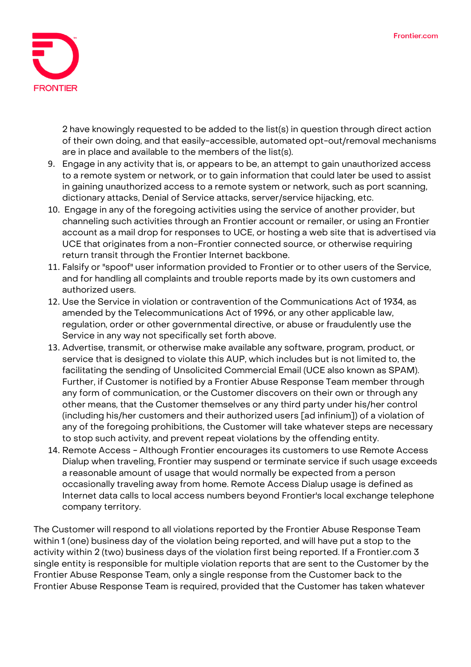

2 have knowingly requested to be added to the list(s) in question through direct action of their own doing, and that easily-accessible, automated opt-out/removal mechanisms are in place and available to the members of the list(s).

- 9. Engage in any activity that is, or appears to be, an attempt to gain unauthorized access to a remote system or network, or to gain information that could later be used to assist in gaining unauthorized access to a remote system or network, such as port scanning, dictionary attacks, Denial of Service attacks, server/service hijacking, etc.
- 10. Engage in any of the foregoing activities using the service of another provider, but channeling such activities through an Frontier account or remailer, or using an Frontier account as a mail drop for responses to UCE, or hosting a web site that is advertised via UCE that originates from a non-Frontier connected source, or otherwise requiring return transit through the Frontier Internet backbone.
- 11. Falsify or "spoof" user information provided to Frontier or to other users of the Service, and for handling all complaints and trouble reports made by its own customers and authorized users.
- 12. Use the Service in violation or contravention of the Communications Act of 1934, as amended by the Telecommunications Act of 1996, or any other applicable law, regulation, order or other governmental directive, or abuse or fraudulently use the Service in any way not specifically set forth above.
- 13. Advertise, transmit, or otherwise make available any software, program, product, or service that is designed to violate this AUP, which includes but is not limited to, the facilitating the sending of Unsolicited Commercial Email (UCE also known as SPAM). Further, if Customer is notified by a Frontier Abuse Response Team member through any form of communication, or the Customer discovers on their own or through any other means, that the Customer themselves or any third party under his/her control (including his/her customers and their authorized users [ad infinium]) of a violation of any of the foregoing prohibitions, the Customer will take whatever steps are necessary to stop such activity, and prevent repeat violations by the offending entity.
- 14. **Remote Access** Although Frontier encourages its customers to use Remote Access Dialup when traveling, Frontier may suspend or terminate service if such usage exceeds a reasonable amount of usage that would normally be expected from a person occasionally traveling away from home. Remote Access Dialup usage is defined as Internet data calls to local access numbers beyond Frontier's local exchange telephone company territory.

The Customer will respond to all violations reported by the Frontier Abuse Response Team within 1 (one) business day of the violation being reported, and will have put a stop to the activity within 2 (two) business days of the violation first being reported. If a Frontier.com 3 single entity is responsible for multiple violation reports that are sent to the Customer by the Frontier Abuse Response Team, only a single response from the Customer back to the Frontier Abuse Response Team is required, provided that the Customer has taken whatever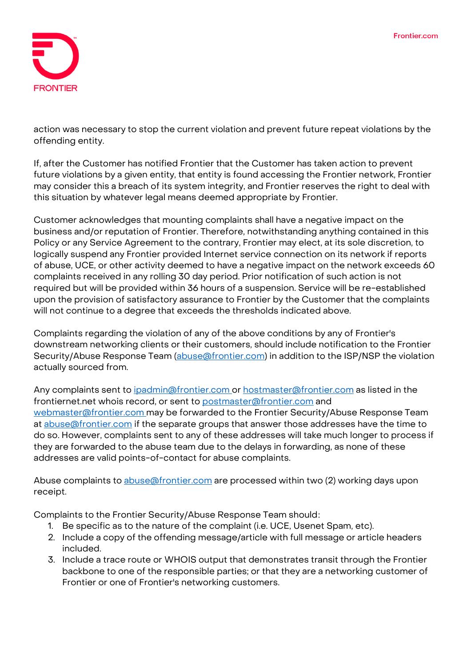

action was necessary to stop the current violation and prevent future repeat violations by the offending entity.

If, after the Customer has notified Frontier that the Customer has taken action to prevent future violations by a given entity, that entity is found accessing the Frontier network, Frontier may consider this a breach of its system integrity, and Frontier reserves the right to deal with this situation by whatever legal means deemed appropriate by Frontier.

Customer acknowledges that mounting complaints shall have a negative impact on the business and/or reputation of Frontier. Therefore, notwithstanding anything contained in this Policy or any Service Agreement to the contrary, Frontier may elect, at its sole discretion, to logically suspend any Frontier provided Internet service connection on its network if reports of abuse, UCE, or other activity deemed to have a negative impact on the network exceeds 60 complaints received in any rolling 30 day period. Prior notification of such action is not required but will be provided within 36 hours of a suspension. Service will be re-established upon the provision of satisfactory assurance to Frontier by the Customer that the complaints will not continue to a degree that exceeds the thresholds indicated above.

**Complaints** regarding the violation of any of the above conditions by any of Frontier's downstream networking clients or their customers, should include notification to the Frontier Security/Abuse Response Team (abuse @frontier.com) in addition to the ISP/NSP the violation actually sourced from.

Any complaints sent to [ipadmin@frontier.com](mailto:ipadmin@frontier.com) or [hostmaster@frontier.com](mailto:hostmaster@frontier.com) as listed in the frontiernet.net whois record, or sent to [postmaster@frontier.com](mailto:postmaster@frontier.com) and [webmaster@frontier.com](mailto:webmaster@frontier.com) may be forwarded to the Frontier Security/Abuse Response Team at abuse affrontier.com if the separate groups that answer those addresses have the time to do so. However, complaints sent to any of these addresses will take much longer to process if they are forwarded to the abuse team due to the delays in forwarding, as none of these addresses are valid points-of-contact for abuse complaints.

Abuse complaints to abuse @frontier.com are processed within two (2) working days upon receipt.

**Complaints to the Frontier Security/Abuse Response Team should**:

- 1. Be specific as to the nature of the complaint (i.e. UCE, Usenet Spam, etc).
- 2. Include a copy of the offending message/article with full message or article headers included.
- 3. Include a trace route or WHOIS output that demonstrates transit through the Frontier backbone to one of the responsible parties; or that they are a networking customer of Frontier or one of Frontier's networking customers.